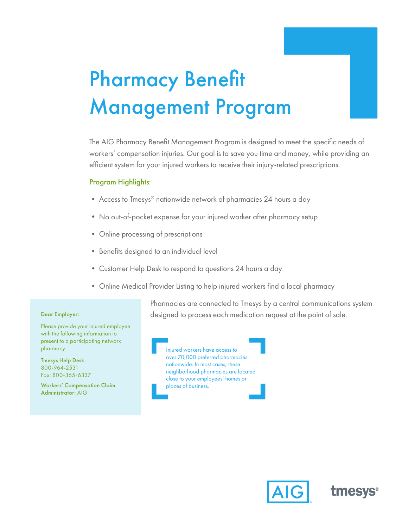# Pharmacy Benefit Management Program

The AIG Pharmacy Benefit Management Program is designed to meet the specific needs of workers' compensation injuries. Our goal is to save you time and money, while providing an efficient system for your injured workers to receive their injury-related prescriptions.

## Program Highlights:

- Access to Tmesys® nationwide network of pharmacies 24 hours a day
- No out-of-pocket expense for your injured worker after pharmacy setup
- Online processing of prescriptions
- Benefits designed to an individual level
- Customer Help Desk to respond to questions 24 hours a day
- Online Medical Provider Listing to help injured workers find a local pharmacy

Pharmacies are connected to Tmesys by a central communications system designed to process each medication request at the point of sale.

#### Dear Employer:

Please provide your injured employee with the following information to present to a participating network pharmacy:

Tmesys Help Desk: 800-964-2531 Fax: 800-365-6337

Workers' Compensation Claim Administrator: AIG